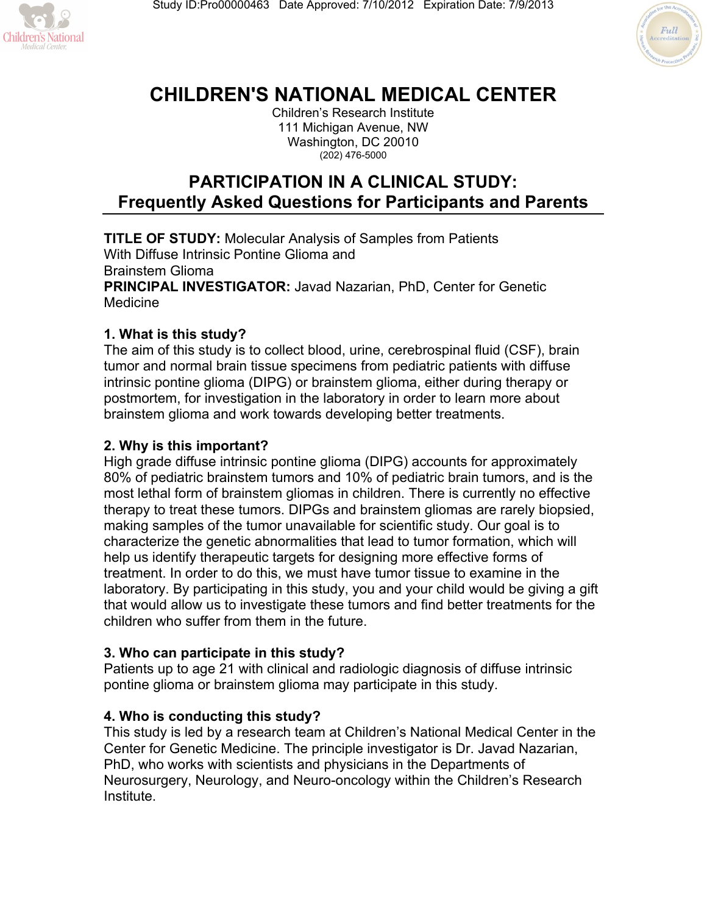



# **CHILDREN'S NATIONAL MEDICAL CENTER**

Children's Research Institute 111 Michigan Avenue, NW Washington, DC 20010 (202) 476-5000

# **PARTICIPATION IN A CLINICAL STUDY: Frequently Asked Questions for Participants and Parents**

**TITLE OF STUDY:** Molecular Analysis of Samples from Patients With Diffuse Intrinsic Pontine Glioma and Brainstem Glioma **PRINCIPAL INVESTIGATOR:** Javad Nazarian, PhD, Center for Genetic Medicine

# **1. What is this study?**

The aim of this study is to collect blood, urine, cerebrospinal fluid (CSF), brain tumor and normal brain tissue specimens from pediatric patients with diffuse intrinsic pontine glioma (DIPG) or brainstem glioma, either during therapy or postmortem, for investigation in the laboratory in order to learn more about brainstem glioma and work towards developing better treatments.

# **2. Why is this important?**

High grade diffuse intrinsic pontine glioma (DIPG) accounts for approximately 80% of pediatric brainstem tumors and 10% of pediatric brain tumors, and is the most lethal form of brainstem gliomas in children. There is currently no effective therapy to treat these tumors. DIPGs and brainstem gliomas are rarely biopsied, making samples of the tumor unavailable for scientific study. Our goal is to characterize the genetic abnormalities that lead to tumor formation, which will help us identify therapeutic targets for designing more effective forms of treatment. In order to do this, we must have tumor tissue to examine in the laboratory. By participating in this study, you and your child would be giving a gift that would allow us to investigate these tumors and find better treatments for the children who suffer from them in the future.

# **3. Who can participate in this study?**

Patients up to age 21 with clinical and radiologic diagnosis of diffuse intrinsic pontine glioma or brainstem glioma may participate in this study.

# **4. Who is conducting this study?**

This study is led by a research team at Children's National Medical Center in the Center for Genetic Medicine. The principle investigator is Dr. Javad Nazarian, PhD, who works with scientists and physicians in the Departments of Neurosurgery, Neurology, and Neuro-oncology within the Children's Research Institute.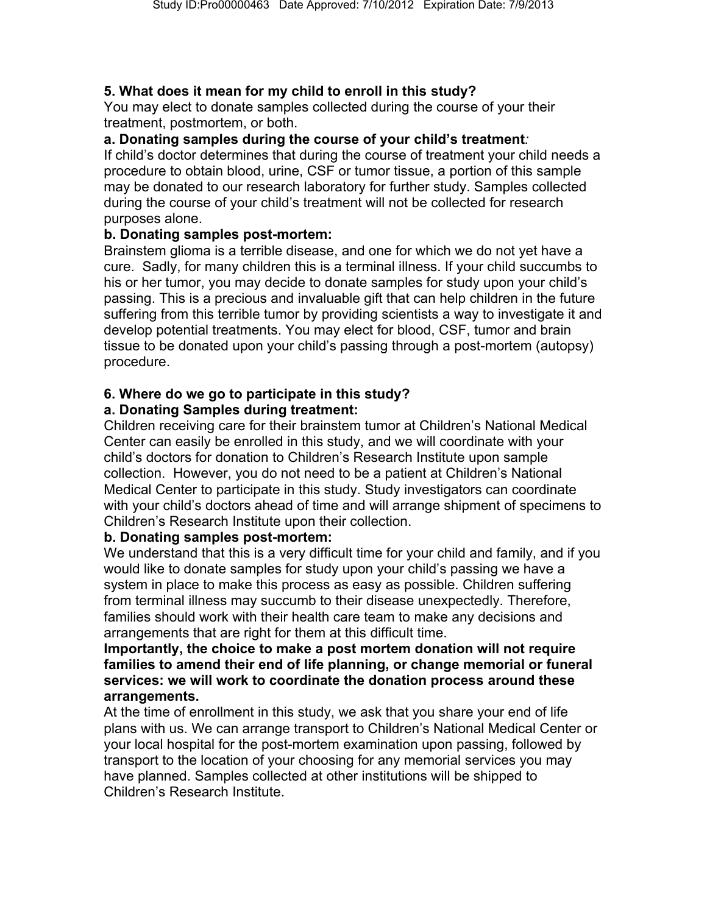# **5. What does it mean for my child to enroll in this study?**

You may elect to donate samples collected during the course of your their treatment, postmortem, or both.

# **a. Donating samples during the course of your child's treatment***:*

If child's doctor determines that during the course of treatment your child needs a procedure to obtain blood, urine, CSF or tumor tissue, a portion of this sample may be donated to our research laboratory for further study. Samples collected during the course of your child's treatment will not be collected for research purposes alone.

# **b. Donating samples post-mortem:**

Brainstem glioma is a terrible disease, and one for which we do not yet have a cure. Sadly, for many children this is a terminal illness. If your child succumbs to his or her tumor, you may decide to donate samples for study upon your child's passing. This is a precious and invaluable gift that can help children in the future suffering from this terrible tumor by providing scientists a way to investigate it and develop potential treatments. You may elect for blood, CSF, tumor and brain tissue to be donated upon your child's passing through a post-mortem (autopsy) procedure.

# **6. Where do we go to participate in this study?**

#### **a. Donating Samples during treatment:**

Children receiving care for their brainstem tumor at Children's National Medical Center can easily be enrolled in this study, and we will coordinate with your child's doctors for donation to Children's Research Institute upon sample collection. However, you do not need to be a patient at Children's National Medical Center to participate in this study. Study investigators can coordinate with your child's doctors ahead of time and will arrange shipment of specimens to Children's Research Institute upon their collection.

#### **b. Donating samples post-mortem:**

We understand that this is a very difficult time for your child and family, and if you would like to donate samples for study upon your child's passing we have a system in place to make this process as easy as possible. Children suffering from terminal illness may succumb to their disease unexpectedly. Therefore, families should work with their health care team to make any decisions and arrangements that are right for them at this difficult time.

#### **Importantly, the choice to make a post mortem donation will not require families to amend their end of life planning, or change memorial or funeral services: we will work to coordinate the donation process around these arrangements.**

At the time of enrollment in this study, we ask that you share your end of life plans with us. We can arrange transport to Children's National Medical Center or your local hospital for the post-mortem examination upon passing, followed by transport to the location of your choosing for any memorial services you may have planned. Samples collected at other institutions will be shipped to Children's Research Institute.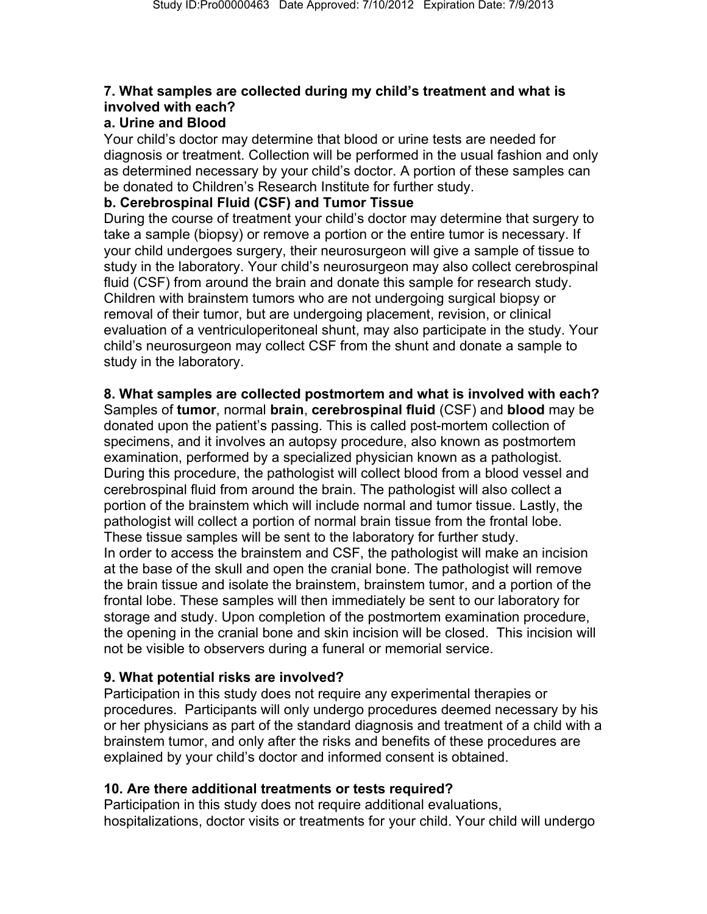# **7. What samples are collected during my child's treatment and what is involved with each?**

#### **a. Urine and Blood**

Your child's doctor may determine that blood or urine tests are needed for diagnosis or treatment. Collection will be performed in the usual fashion and only as determined necessary by your child's doctor. A portion of these samples can be donated to Children's Research Institute for further study.

#### **b. Cerebrospinal Fluid (CSF) and Tumor Tissue**

During the course of treatment your child's doctor may determine that surgery to take a sample (biopsy) or remove a portion or the entire tumor is necessary. If your child undergoes surgery, their neurosurgeon will give a sample of tissue to study in the laboratory. Your child's neurosurgeon may also collect cerebrospinal fluid (CSF) from around the brain and donate this sample for research study. Children with brainstem tumors who are not undergoing surgical biopsy or removal of their tumor, but are undergoing placement, revision, or clinical evaluation of a ventriculoperitoneal shunt, may also participate in the study. Your child's neurosurgeon may collect CSF from the shunt and donate a sample to study in the laboratory.

# **8. What samples are collected postmortem and what is involved with each?**

Samples of **tumor**, normal **brain**, **cerebrospinal fluid** (CSF) and **blood** may be donated upon the patient's passing. This is called post-mortem collection of specimens, and it involves an autopsy procedure, also known as postmortem examination, performed by a specialized physician known as a pathologist. During this procedure, the pathologist will collect blood from a blood vessel and cerebrospinal fluid from around the brain. The pathologist will also collect a portion of the brainstem which will include normal and tumor tissue. Lastly, the pathologist will collect a portion of normal brain tissue from the frontal lobe. These tissue samples will be sent to the laboratory for further study. In order to access the brainstem and CSF, the pathologist will make an incision at the base of the skull and open the cranial bone. The pathologist will remove the brain tissue and isolate the brainstem, brainstem tumor, and a portion of the frontal lobe. These samples will then immediately be sent to our laboratory for storage and study. Upon completion of the postmortem examination procedure, the opening in the cranial bone and skin incision will be closed. This incision will not be visible to observers during a funeral or memorial service.

# **9. What potential risks are involved?**

Participation in this study does not require any experimental therapies or procedures. Participants will only undergo procedures deemed necessary by his or her physicians as part of the standard diagnosis and treatment of a child with a brainstem tumor, and only after the risks and benefits of these procedures are explained by your child's doctor and informed consent is obtained.

# **10. Are there additional treatments or tests required?**

Participation in this study does not require additional evaluations, hospitalizations, doctor visits or treatments for your child. Your child will undergo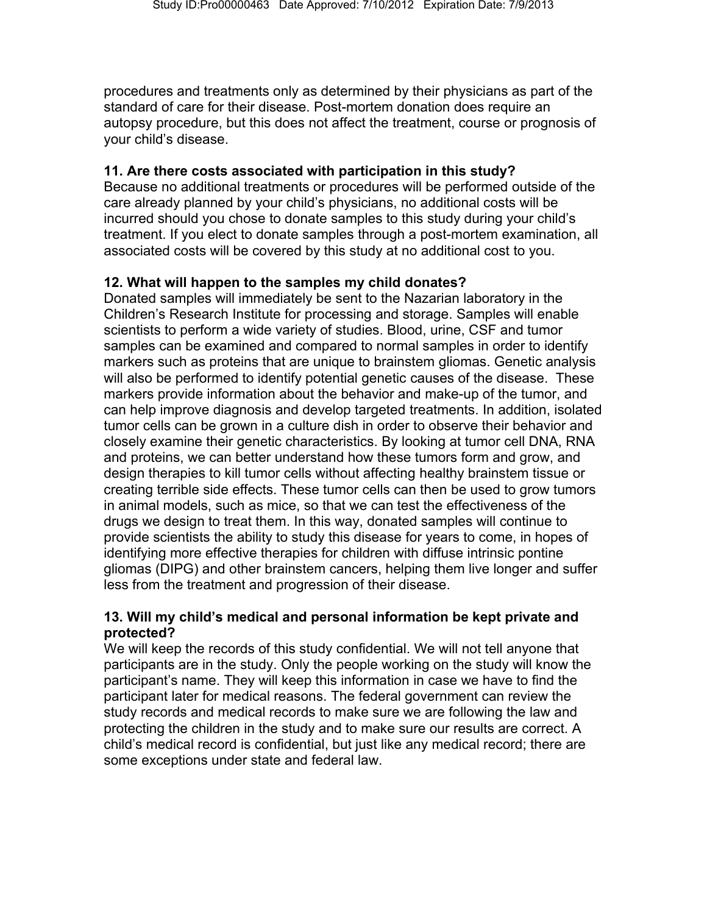procedures and treatments only as determined by their physicians as part of the standard of care for their disease. Post-mortem donation does require an autopsy procedure, but this does not affect the treatment, course or prognosis of your child's disease.

#### **11. Are there costs associated with participation in this study?**

Because no additional treatments or procedures will be performed outside of the care already planned by your child's physicians, no additional costs will be incurred should you chose to donate samples to this study during your child's treatment. If you elect to donate samples through a post-mortem examination, all associated costs will be covered by this study at no additional cost to you.

# **12. What will happen to the samples my child donates?**

Donated samples will immediately be sent to the Nazarian laboratory in the Children's Research Institute for processing and storage. Samples will enable scientists to perform a wide variety of studies. Blood, urine, CSF and tumor samples can be examined and compared to normal samples in order to identify markers such as proteins that are unique to brainstem gliomas. Genetic analysis will also be performed to identify potential genetic causes of the disease. These markers provide information about the behavior and make-up of the tumor, and can help improve diagnosis and develop targeted treatments. In addition, isolated tumor cells can be grown in a culture dish in order to observe their behavior and closely examine their genetic characteristics. By looking at tumor cell DNA, RNA and proteins, we can better understand how these tumors form and grow, and design therapies to kill tumor cells without affecting healthy brainstem tissue or creating terrible side effects. These tumor cells can then be used to grow tumors in animal models, such as mice, so that we can test the effectiveness of the drugs we design to treat them. In this way, donated samples will continue to provide scientists the ability to study this disease for years to come, in hopes of identifying more effective therapies for children with diffuse intrinsic pontine gliomas (DIPG) and other brainstem cancers, helping them live longer and suffer less from the treatment and progression of their disease.

#### **13. Will my child's medical and personal information be kept private and protected?**

We will keep the records of this study confidential. We will not tell anyone that participants are in the study. Only the people working on the study will know the participant's name. They will keep this information in case we have to find the participant later for medical reasons. The federal government can review the study records and medical records to make sure we are following the law and protecting the children in the study and to make sure our results are correct. A child's medical record is confidential, but just like any medical record; there are some exceptions under state and federal law.